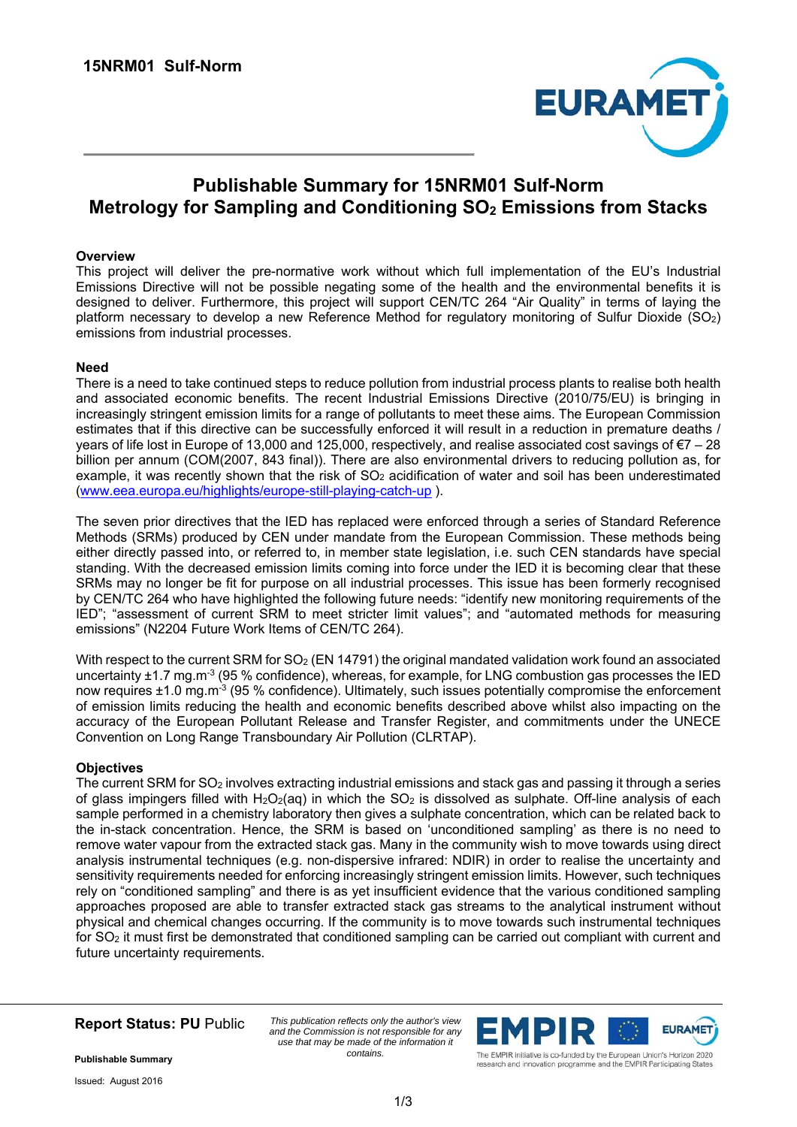

# **Publishable Summary for 15NRM01 Sulf-Norm Metrology for Sampling and Conditioning SO<sub>2</sub> Emissions from Stacks**

## **Overview**

This project will deliver the pre-normative work without which full implementation of the EU's Industrial Emissions Directive will not be possible negating some of the health and the environmental benefits it is designed to deliver. Furthermore, this project will support CEN/TC 264 "Air Quality" in terms of laying the platform necessary to develop a new Reference Method for regulatory monitoring of Sulfur Dioxide (SO2) emissions from industrial processes.

#### **Need**

There is a need to take continued steps to reduce pollution from industrial process plants to realise both health and associated economic benefits. The recent Industrial Emissions Directive (2010/75/EU) is bringing in increasingly stringent emission limits for a range of pollutants to meet these aims. The European Commission estimates that if this directive can be successfully enforced it will result in a reduction in premature deaths / years of life lost in Europe of 13,000 and 125,000, respectively, and realise associated cost savings of €7 – 28 billion per annum (COM(2007, 843 final)). There are also environmental drivers to reducing pollution as, for example, it was recently shown that the risk of SO<sub>2</sub> acidification of water and soil has been underestimated (www.eea.europa.eu/highlights/europe-still-playing-catch-up ).

The seven prior directives that the IED has replaced were enforced through a series of Standard Reference Methods (SRMs) produced by CEN under mandate from the European Commission. These methods being either directly passed into, or referred to, in member state legislation, i.e. such CEN standards have special standing. With the decreased emission limits coming into force under the IED it is becoming clear that these SRMs may no longer be fit for purpose on all industrial processes. This issue has been formerly recognised by CEN/TC 264 who have highlighted the following future needs: "identify new monitoring requirements of the IED"; "assessment of current SRM to meet stricter limit values"; and "automated methods for measuring emissions" (N2204 Future Work Items of CEN/TC 264).

With respect to the current SRM for  $SO<sub>2</sub>$  (EN 14791) the original mandated validation work found an associated uncertainty  $\pm 1.7$  mg.m<sup>-3</sup> (95 % confidence), whereas, for example, for LNG combustion gas processes the IED now requires ±1.0 mg.m<sup>-3</sup> (95 % confidence). Ultimately, such issues potentially compromise the enforcement of emission limits reducing the health and economic benefits described above whilst also impacting on the accuracy of the European Pollutant Release and Transfer Register, and commitments under the UNECE Convention on Long Range Transboundary Air Pollution (CLRTAP).

#### **Objectives**

The current SRM for  $SO_2$  involves extracting industrial emissions and stack gas and passing it through a series of glass impingers filled with H<sub>2</sub>O<sub>2</sub>(aq) in which the SO<sub>2</sub> is dissolved as sulphate. Off-line analysis of each sample performed in a chemistry laboratory then gives a sulphate concentration, which can be related back to the in-stack concentration. Hence, the SRM is based on 'unconditioned sampling' as there is no need to remove water vapour from the extracted stack gas. Many in the community wish to move towards using direct analysis instrumental techniques (e.g. non-dispersive infrared: NDIR) in order to realise the uncertainty and sensitivity requirements needed for enforcing increasingly stringent emission limits. However, such techniques rely on "conditioned sampling" and there is as yet insufficient evidence that the various conditioned sampling approaches proposed are able to transfer extracted stack gas streams to the analytical instrument without physical and chemical changes occurring. If the community is to move towards such instrumental techniques for SO2 it must first be demonstrated that conditioned sampling can be carried out compliant with current and future uncertainty requirements.

**Report Status: PU** Public

*This publication reflects only the author's view and the Commission is not responsible for any use that may be made of the information it contains.* 



research and innovation programme and the EMPIR Participating States

**Publishable Summary** 

Issued: August 2016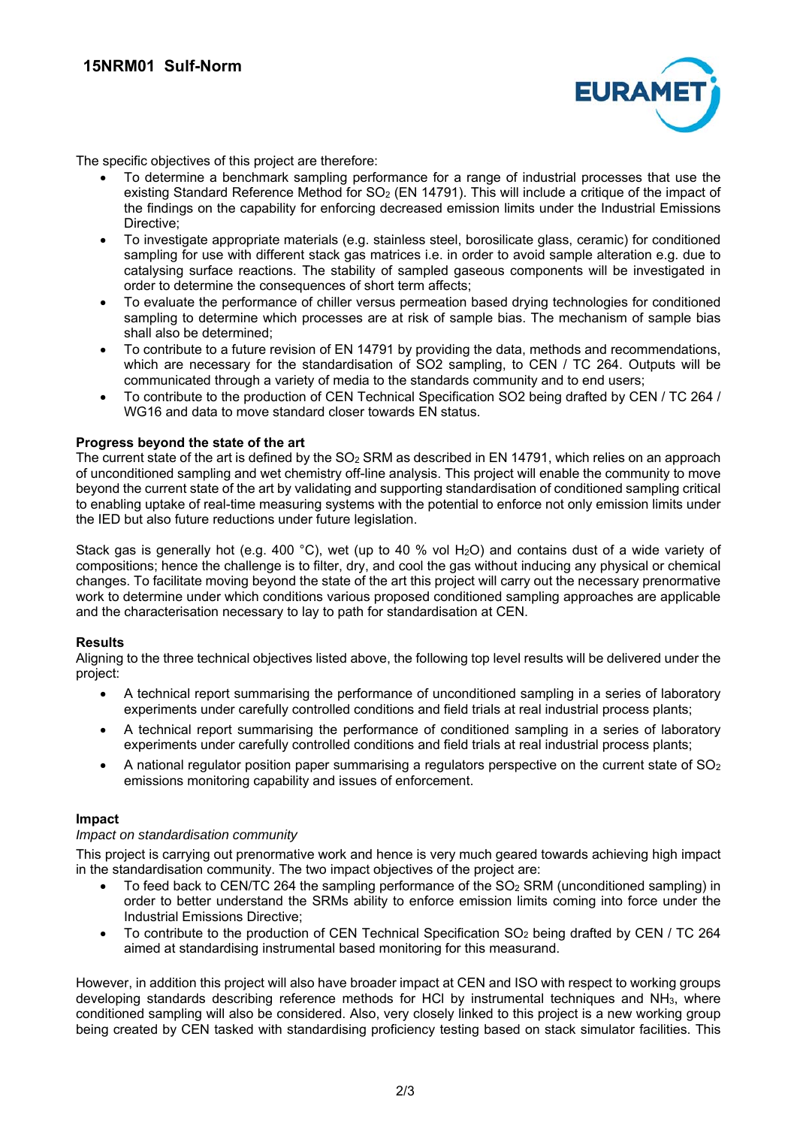

The specific objectives of this project are therefore:

- To determine a benchmark sampling performance for a range of industrial processes that use the existing Standard Reference Method for SO<sub>2</sub> (EN 14791). This will include a critique of the impact of the findings on the capability for enforcing decreased emission limits under the Industrial Emissions Directive;
- To investigate appropriate materials (e.g. stainless steel, borosilicate glass, ceramic) for conditioned sampling for use with different stack gas matrices i.e. in order to avoid sample alteration e.g. due to catalysing surface reactions. The stability of sampled gaseous components will be investigated in order to determine the consequences of short term affects;
- To evaluate the performance of chiller versus permeation based drying technologies for conditioned sampling to determine which processes are at risk of sample bias. The mechanism of sample bias shall also be determined;
- To contribute to a future revision of EN 14791 by providing the data, methods and recommendations, which are necessary for the standardisation of SO2 sampling, to CEN / TC 264. Outputs will be communicated through a variety of media to the standards community and to end users;
- To contribute to the production of CEN Technical Specification SO2 being drafted by CEN / TC 264 / WG16 and data to move standard closer towards EN status.

## **Progress beyond the state of the art**

The current state of the art is defined by the  $SO<sub>2</sub>$  SRM as described in EN 14791, which relies on an approach of unconditioned sampling and wet chemistry off-line analysis. This project will enable the community to move beyond the current state of the art by validating and supporting standardisation of conditioned sampling critical to enabling uptake of real-time measuring systems with the potential to enforce not only emission limits under the IED but also future reductions under future legislation.

Stack gas is generally hot (e.g. 400 °C), wet (up to 40 % vol H<sub>2</sub>O) and contains dust of a wide variety of compositions; hence the challenge is to filter, dry, and cool the gas without inducing any physical or chemical changes. To facilitate moving beyond the state of the art this project will carry out the necessary prenormative work to determine under which conditions various proposed conditioned sampling approaches are applicable and the characterisation necessary to lay to path for standardisation at CEN.

#### **Results**

Aligning to the three technical objectives listed above, the following top level results will be delivered under the project:

- A technical report summarising the performance of unconditioned sampling in a series of laboratory experiments under carefully controlled conditions and field trials at real industrial process plants;
- A technical report summarising the performance of conditioned sampling in a series of laboratory experiments under carefully controlled conditions and field trials at real industrial process plants;
- A national regulator position paper summarising a regulators perspective on the current state of  $SO<sub>2</sub>$ emissions monitoring capability and issues of enforcement.

#### **Impact**

#### *Impact on standardisation community*

This project is carrying out prenormative work and hence is very much geared towards achieving high impact in the standardisation community. The two impact objectives of the project are:

- To feed back to CEN/TC 264 the sampling performance of the  $SO<sub>2</sub>$  SRM (unconditioned sampling) in order to better understand the SRMs ability to enforce emission limits coming into force under the Industrial Emissions Directive;
- To contribute to the production of CEN Technical Specification SO2 being drafted by CEN / TC 264 aimed at standardising instrumental based monitoring for this measurand.

However, in addition this project will also have broader impact at CEN and ISO with respect to working groups developing standards describing reference methods for HCl by instrumental techniques and NH3, where conditioned sampling will also be considered. Also, very closely linked to this project is a new working group being created by CEN tasked with standardising proficiency testing based on stack simulator facilities. This